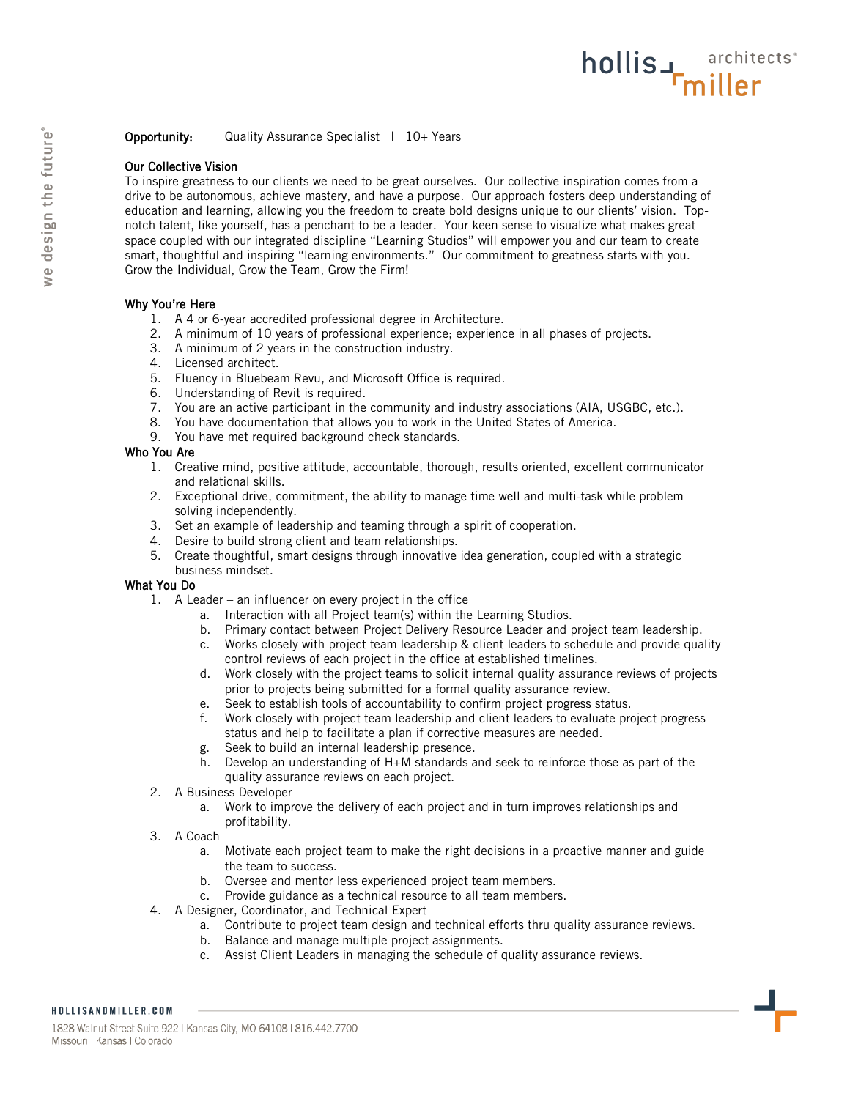## Our Collective Vision

To inspire greatness to our clients we need to be great ourselves. Our collective inspiration comes from a drive to be autonomous, achieve mastery, and have a purpose. Our approach fosters deep understanding of education and learning, allowing you the freedom to create bold designs unique to our clients' vision. Topnotch talent, like yourself, has a penchant to be a leader. Your keen sense to visualize what makes great space coupled with our integrated discipline "Learning Studios" will empower you and our team to create smart, thoughtful and inspiring "learning environments." Our commitment to greatness starts with you. Grow the Individual, Grow the Team, Grow the Firm!

hollis<sub>4</sub> architects<sup>\*</sup>

## Why You're Here

- 1. A 4 or 6-year accredited professional degree in Architecture.
- 2. A minimum of 10 years of professional experience; experience in all phases of projects.
- 3. A minimum of 2 years in the construction industry.
- 4. Licensed architect.
- 5. Fluency in Bluebeam Revu, and Microsoft Office is required.
- 6. Understanding of Revit is required.
- 7. You are an active participant in the community and industry associations (AIA, USGBC, etc.).
- 8. You have documentation that allows you to work in the United States of America.
- 9. You have met required background check standards.

## Who You Are

- 1. Creative mind, positive attitude, accountable, thorough, results oriented, excellent communicator and relational skills.
- 2. Exceptional drive, commitment, the ability to manage time well and multi-task while problem solving independently.
- 3. Set an example of leadership and teaming through a spirit of cooperation.
- 4. Desire to build strong client and team relationships.
- 5. Create thoughtful, smart designs through innovative idea generation, coupled with a strategic business mindset.

## What You Do

- 1. A Leader an influencer on every project in the office
	- a. Interaction with all Project team(s) within the Learning Studios.
	- b. Primary contact between Project Delivery Resource Leader and project team leadership.
	- c. Works closely with project team leadership & client leaders to schedule and provide quality control reviews of each project in the office at established timelines.
	- d. Work closely with the project teams to solicit internal quality assurance reviews of projects prior to projects being submitted for a formal quality assurance review.
	- e. Seek to establish tools of accountability to confirm project progress status.
	- f. Work closely with project team leadership and client leaders to evaluate project progress status and help to facilitate a plan if corrective measures are needed.
	- g. Seek to build an internal leadership presence.
	- h. Develop an understanding of H+M standards and seek to reinforce those as part of the quality assurance reviews on each project.
- 2. A Business Developer
	- a. Work to improve the delivery of each project and in turn improves relationships and profitability.
- 3. A Coach
	- a. Motivate each project team to make the right decisions in a proactive manner and guide the team to success.
	- b. Oversee and mentor less experienced project team members.
	- c. Provide guidance as a technical resource to all team members.
- 4. A Designer, Coordinator, and Technical Expert
	- a. Contribute to project team design and technical efforts thru quality assurance reviews.
	- b. Balance and manage multiple project assignments.
	- c. Assist Client Leaders in managing the schedule of quality assurance reviews.